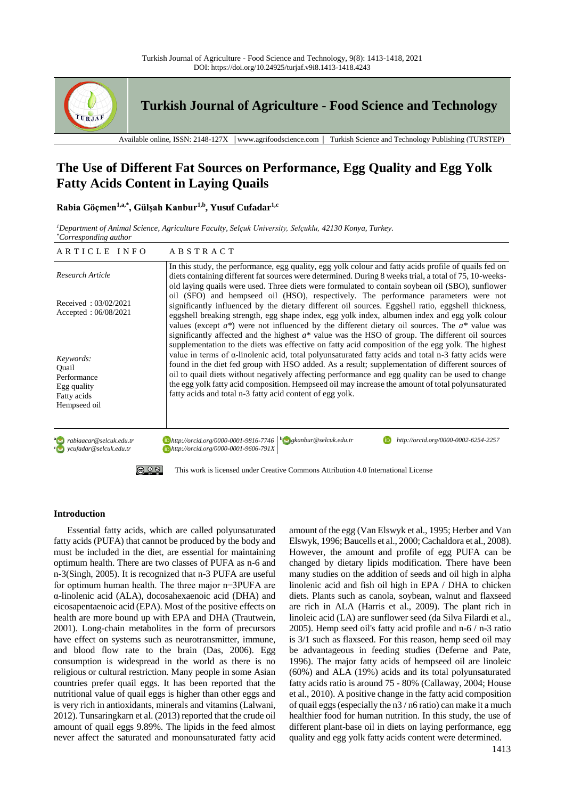

**Turkish Journal of Agriculture - Food Science and Technology**

Available online, ISSN: 2148-127X │www.agrifoodscience.com │ Turkish Science and Technology Publishing (TURSTEP)

# **The Use of Different Fat Sources on Performance, Egg Quality and Egg Yolk Fatty Acids Content in Laying Quails**

# **Rabia Göçmen1,a,\*, Gülşah Kanbur1,b, Yusuf Cufadar1,c**

*<sup>1</sup>Department of Animal Science, Agriculture Faculty, Selçuk University, Selçuklu, 42130 Konya, Turkey. \*Corresponding author*

| ARTICLE INFO                                                                    | ABSTRACT                                                                                                                                                                                                                                                                                                                                                                                                                                                                                                                                                                                      |
|---------------------------------------------------------------------------------|-----------------------------------------------------------------------------------------------------------------------------------------------------------------------------------------------------------------------------------------------------------------------------------------------------------------------------------------------------------------------------------------------------------------------------------------------------------------------------------------------------------------------------------------------------------------------------------------------|
| Research Article                                                                | In this study, the performance, egg quality, egg yolk colour and fatty acids profile of quails fed on<br>diets containing different fat sources were determined. During 8 weeks trial, a total of 75, 10-weeks-<br>old laying quails were used. Three diets were formulated to contain soybean oil (SBO), sunflower                                                                                                                                                                                                                                                                           |
| Received: $03/02/2021$<br>Accepted: $06/08/2021$                                | oil (SFO) and hempseed oil (HSO), respectively. The performance parameters were not<br>significantly influenced by the dietary different oil sources. Eggshell ratio, eggshell thickness,<br>eggshell breaking strength, egg shape index, egg yolk index, albumen index and egg yolk colour<br>values (except $a^*$ ) were not influenced by the different dietary oil sources. The $a^*$ value was<br>significantly affected and the highest $a^*$ value was the HSO of group. The different oil sources                                                                                     |
| Keywords:<br>Ouail<br>Performance<br>Egg quality<br>Fatty acids<br>Hempseed oil | supplementation to the diets was effective on fatty acid composition of the egg yolk. The highest<br>value in terms of $\alpha$ -linolenic acid, total polyunsaturated fatty acids and total n-3 fatty acids were<br>found in the diet fed group with HSO added. As a result; supplementation of different sources of<br>oil to quail diets without negatively affecting performance and egg quality can be used to change<br>the egg yolk fatty acid composition. Hempseed oil may increase the amount of total polyunsaturated<br>fatty acids and total n-3 fatty acid content of egg yolk. |
| rabiaacar@selcuk.edu.tr<br>vcufadar@selcuk.edu.tr                               | $\Box$ http://orcid.org/0000-0001-9816-7746 $\Box$ gkanbur@selcuk.edu.tr<br>http://orcid.org/0000-0002-6254-2257<br>Dhttp://orcid.org/0000-0001-9606-791X                                                                                                                                                                                                                                                                                                                                                                                                                                     |
|                                                                                 | This work is licensed under Creative Commons Attribution 4.0 International License                                                                                                                                                                                                                                                                                                                                                                                                                                                                                                            |

# **Introduction**

Essential fatty acids, which are called polyunsaturated fatty acids (PUFA) that cannot be produced by the body and must be included in the diet, are essential for maintaining optimum health. There are two classes of PUFA as n-6 and n-3(Singh, 2005). It is recognized that n-3 PUFA are useful for optimum human health. The three major n−3PUFA are α-linolenic acid (ALA), docosahexaenoic acid (DHA) and eicosapentaenoic acid (EPA). Most of the positive effects on health are more bound up with EPA and DHA (Trautwein, 2001). Long-chain metabolites in the form of precursors have effect on systems such as neurotransmitter, immune, and blood flow rate to the brain (Das, 2006). Egg consumption is widespread in the world as there is no religious or cultural restriction. Many people in some Asian countries prefer quail eggs. It has been reported that the nutritional value of quail eggs is higher than other eggs and is very rich in antioxidants, minerals and vitamins (Lalwani, 2012). Tunsaringkarn et al. (2013) reported that the crude oil amount of quail eggs 9.89%. The lipids in the feed almost never affect the saturated and monounsaturated fatty acid amount of the egg (Van Elswyk et al., 1995; Herber and Van Elswyk, 1996; Baucells et al., 2000; Cachaldora et al., 2008). However, the amount and profile of egg PUFA can be changed by dietary lipids modification. There have been many studies on the addition of seeds and oil high in alpha linolenic acid and fish oil high in EPA / DHA to chicken diets. Plants such as canola, soybean, walnut and flaxseed are rich in ALA (Harris et al., 2009). The plant rich in linoleic acid (LA) are sunflower seed (da Silva Filardi et al., 2005). Hemp seed oil's fatty acid profile and n-6 / n-3 ratio is 3/1 such as flaxseed. For this reason, hemp seed oil may be advantageous in feeding studies (Deferne and Pate, 1996). The major fatty acids of hempseed oil are linoleic (60%) and ALA (19%) acids and its total polyunsaturated fatty acids ratio is around 75 - 80% (Callaway, 2004; House et al., 2010). A positive change in the fatty acid composition of quail eggs (especially the n3 / n6 ratio) can make it a much healthier food for human nutrition. In this study, the use of different plant-base oil in diets on laying performance, egg quality and egg yolk fatty acids content were determined.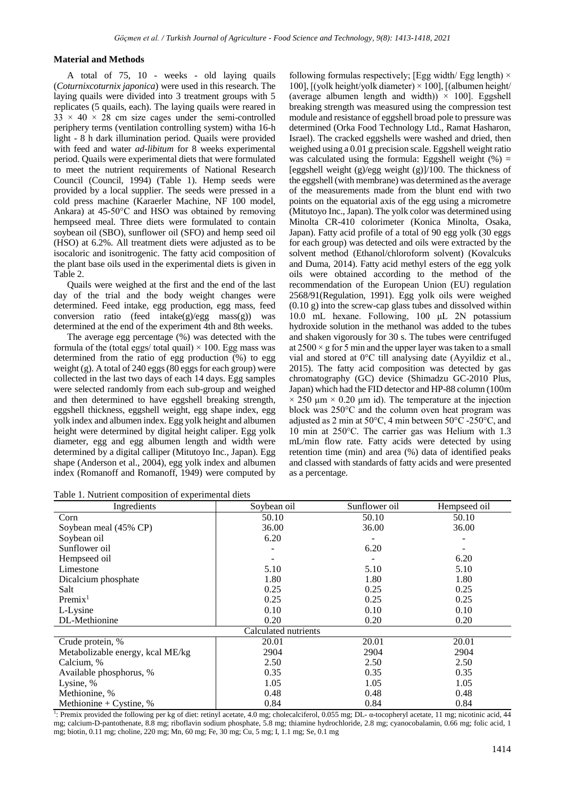## **Material and Methods**

A total of 75, 10 - weeks - old laying quails (*Coturnixcoturnix japonica*) were used in this research. The laying quails were divided into 3 treatment groups with 5 replicates (5 quails, each). The laying quails were reared in  $33 \times 40 \times 28$  cm size cages under the semi-controlled periphery terms (ventilation controlling system) witha 16-h light - 8 h dark illumination period. Quails were provided with feed and water *ad-libitum* for 8 weeks experimental period. Quails were experimental diets that were formulated to meet the nutrient requirements of National Research Council (Council, 1994) (Table 1). Hemp seeds were provided by a local supplier. The seeds were pressed in a cold press machine (Karaerler Machine, NF 100 model, Ankara) at 45-50°C and HSO was obtained by removing hempseed meal. Three diets were formulated to contain soybean oil (SBO), sunflower oil (SFO) and hemp seed oil (HSO) at 6.2%. All treatment diets were adjusted as to be isocaloric and isonitrogenic. The fatty acid composition of the plant base oils used in the experimental diets is given in Table 2.

Quails were weighed at the first and the end of the last day of the trial and the body weight changes were determined. Feed intake, egg production, egg mass, feed conversion ratio (feed intake(g)/egg mass(g)) was determined at the end of the experiment 4th and 8th weeks.

The average egg percentage (%) was detected with the formula of the (total eggs/ total quail)  $\times$  100. Egg mass was determined from the ratio of egg production (%) to egg weight (g). A total of 240 eggs (80 eggs for each group) were collected in the last two days of each 14 days. Egg samples were selected randomly from each sub-group and weighed and then determined to have eggshell breaking strength, eggshell thickness, eggshell weight, egg shape index, egg yolk index and albumen index. Egg yolk height and albumen height were determined by digital height caliper. Egg yolk diameter, egg and egg albumen length and width were determined by a digital calliper (Mitutoyo Inc., Japan). Egg shape (Anderson et al., 2004), egg yolk index and albumen index (Romanoff and Romanoff, 1949) were computed by

Table 1. Nutrient composition of experimental diets

following formulas respectively; [Egg width/ Egg length)  $\times$ 100],  $[(yolk height/yolk diameter) \times 100]$ ,  $[(albumen height/$ (average albumen length and width))  $\times$  100]. Eggshell breaking strength was measured using the compression test module and resistance of eggshell broad pole to pressure was determined (Orka Food Technology Ltd., Ramat Hasharon, Israel). The cracked eggshells were washed and dried, then weighed using a 0.01 g precision scale. Eggshell weight ratio was calculated using the formula: Eggshell weight  $(\%) =$ [eggshell weight  $(g)/egg$  weight  $(g)/100$ . The thickness of the eggshell (with membrane) was determined as the average of the measurements made from the blunt end with two points on the equatorial axis of the egg using a micrometre (Mitutoyo Inc., Japan). The yolk color was determined using Minolta CR-410 colorimeter (Konica Minolta, Osaka, Japan). Fatty acid profile of a total of 90 egg yolk (30 eggs for each group) was detected and oils were extracted by the solvent method (Ethanol/chloroform solvent) (Kovalcuks and Duma, 2014). Fatty acid methyl esters of the egg yolk oils were obtained according to the method of the recommendation of the European Union (EU) regulation 2568/91(Regulation, 1991). Egg yolk oils were weighed (0.10 g) into the screw-cap glass tubes and dissolved within 10.0 mL hexane. Following, 100 μL 2N potassium hydroxide solution in the methanol was added to the tubes and shaken vigorously for 30 s. The tubes were centrifuged at  $2500 \times g$  for 5 min and the upper layer was taken to a small vial and stored at 0°C till analysing date (Ayyildiz et al., 2015). The fatty acid composition was detected by gas chromatography (GC) device (Shimadzu GC-2010 Plus, Japan) which had the FID detector and HP-88 column (100m  $\times$  250 μm  $\times$  0.20 μm id). The temperature at the injection block was 250°C and the column oven heat program was adjusted as 2 min at 50 $\degree$ C, 4 min between 50 $\degree$ C -250 $\degree$ C, and 10 min at 250°C. The carrier gas was Helium with 1.3 mL/min flow rate. Fatty acids were detected by using retention time (min) and area (%) data of identified peaks and classed with standards of fatty acids and were presented as a percentage.

| Ingredients                      | Soybean oil | Sunflower oil | Hempseed oil |  |  |  |
|----------------------------------|-------------|---------------|--------------|--|--|--|
| Corn                             | 50.10       | 50.10         | 50.10        |  |  |  |
| Soybean meal (45% CP)            | 36.00       | 36.00         | 36.00        |  |  |  |
| Soybean oil                      | 6.20        |               |              |  |  |  |
| Sunflower oil                    |             | 6.20          |              |  |  |  |
| Hempseed oil                     |             |               | 6.20         |  |  |  |
| Limestone                        | 5.10        | 5.10          | 5.10         |  |  |  |
| Dicalcium phosphate              | 1.80        | 1.80          | 1.80         |  |  |  |
| Salt                             | 0.25        | 0.25          | 0.25         |  |  |  |
| Premix <sup>1</sup>              | 0.25        | 0.25          | 0.25         |  |  |  |
| L-Lysine                         | 0.10        | 0.10          | 0.10         |  |  |  |
| DL-Methionine                    | 0.20        | 0.20          | 0.20         |  |  |  |
| Calculated nutrients             |             |               |              |  |  |  |
| Crude protein, %                 | 20.01       | 20.01         | 20.01        |  |  |  |
| Metabolizable energy, kcal ME/kg | 2904        | 2904          | 2904         |  |  |  |
| Calcium, %                       | 2.50        | 2.50          | 2.50         |  |  |  |
| Available phosphorus, %          | 0.35        | 0.35          | 0.35         |  |  |  |
| Lysine, %                        | 1.05        | 1.05          | 1.05         |  |  |  |
| Methionine, %                    | 0.48        | 0.48          | 0.48         |  |  |  |
| Methionine + Cystine, $%$        | 0.84        | 0.84          | 0.84         |  |  |  |

<sup>1</sup>: Premix provided the following per kg of diet: retinyl acetate, 4.0 mg; cholecalciferol, 0.055 mg; DL- α-tocopheryl acetate, 11 mg; nicotinic acid, 44 mg; calcium-D-pantothenate, 8.8 mg; riboflavin sodium phosphate, 5.8 mg; thiamine hydrochloride, 2.8 mg; cyanocobalamin, 0.66 mg; folic acid, 1 mg; biotin, 0.11 mg; choline, 220 mg; Mn, 60 mg; Fe, 30 mg; Cu, 5 mg; I, 1.1 mg; Se, 0.1 mg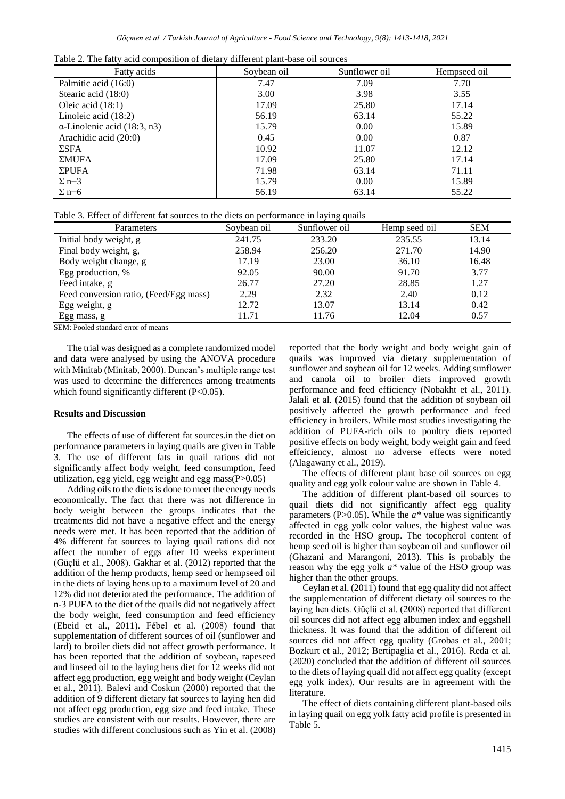|  | Table 2. The fatty acid composition of dietary different plant-base oil sources |  |  |
|--|---------------------------------------------------------------------------------|--|--|
|--|---------------------------------------------------------------------------------|--|--|

| Fatty acids                         | Soybean oil | Sunflower oil | Hempseed oil |
|-------------------------------------|-------------|---------------|--------------|
| Palmitic acid (16:0)                | 7.47        | 7.09          | 7.70         |
| Stearic acid (18:0)                 | 3.00        | 3.98          | 3.55         |
| Oleic acid $(18:1)$                 | 17.09       | 25.80         | 17.14        |
| Linoleic acid $(18:2)$              | 56.19       | 63.14         | 55.22        |
| $\alpha$ -Linolenic acid (18:3, n3) | 15.79       | 0.00          | 15.89        |
| Arachidic acid (20:0)               | 0.45        | 0.00          | 0.87         |
| $\Sigma$ SFA                        | 10.92       | 11.07         | 12.12        |
| ΣMUFA                               | 17.09       | 25.80         | 17.14        |
| $\Sigma$ PUFA                       | 71.98       | 63.14         | 71.11        |
| $\Sigma$ n-3                        | 15.79       | 0.00          | 15.89        |
| $\Sigma$ n–6                        | 56.19       | 63.14         | 55.22        |

Table 3. Effect of different fat sources to the diets on performance in laying quails

| Soybean oil | Sunflower oil | Hemp seed oil | <b>SEM</b> |
|-------------|---------------|---------------|------------|
| 241.75      | 233.20        | 235.55        | 13.14      |
| 258.94      | 256.20        | 271.70        | 14.90      |
| 17.19       | 23.00         | 36.10         | 16.48      |
| 92.05       | 90.00         | 91.70         | 3.77       |
| 26.77       | 27.20         | 28.85         | 1.27       |
| 2.29        | 2.32          | 2.40          | 0.12       |
| 12.72       | 13.07         | 13.14         | 0.42       |
| 11.71       | 11.76         | 12.04         | 0.57       |
|             |               |               |            |

SEM: Pooled standard error of means

The trial was designed as a complete randomized model and data were analysed by using the ANOVA procedure with Minitab (Minitab, 2000). Duncan's multiple range test was used to determine the differences among treatments which found significantly different (P<0.05).

#### **Results and Discussion**

The effects of use of different fat sources.in the diet on performance parameters in laying quails are given in Table 3. The use of different fats in quail rations did not significantly affect body weight, feed consumption, feed utilization, egg yield, egg weight and egg mass $(P>0.05)$ 

Adding oils to the diets is done to meet the energy needs economically. The fact that there was not difference in body weight between the groups indicates that the treatments did not have a negative effect and the energy needs were met. It has been reported that the addition of 4% different fat sources to laying quail rations did not affect the number of eggs after 10 weeks experiment (Güçlü et al., 2008). Gakhar et al. (2012) reported that the addition of the hemp products, hemp seed or hempseed oil in the diets of laying hens up to a maximum level of 20 and 12% did not deteriorated the performance. The addition of n-3 PUFA to the diet of the quails did not negatively affect the body weight, feed consumption and feed efficiency (Ebeid et al., 2011). Fébel et al. (2008) found that supplementation of different sources of oil (sunflower and lard) to broiler diets did not affect growth performance. It has been reported that the addition of soybean, rapeseed and linseed oil to the laying hens diet for 12 weeks did not affect egg production, egg weight and body weight (Ceylan et al., 2011). Balevi and Coskun (2000) reported that the addition of 9 different dietary fat sources to laying hen did not affect egg production, egg size and feed intake. These studies are consistent with our results. However, there are studies with different conclusions such as Yin et al. (2008) reported that the body weight and body weight gain of quails was improved via dietary supplementation of sunflower and soybean oil for 12 weeks. Adding sunflower and canola oil to broiler diets improved growth performance and feed efficiency (Nobakht et al., 2011). Jalali et al. (2015) found that the addition of soybean oil positively affected the growth performance and feed efficiency in broilers. While most studies investigating the addition of PUFA-rich oils to poultry diets reported positive effects on body weight, body weight gain and feed effeiciency, almost no adverse effects were noted (Alagawany et al., 2019).

The effects of different plant base oil sources on egg quality and egg yolk colour value are shown in Table 4.

The addition of different plant-based oil sources to quail diets did not significantly affect egg quality parameters (P>0.05). While the *a\** value was significantly affected in egg yolk color values, the highest value was recorded in the HSO group. The tocopherol content of hemp seed oil is higher than soybean oil and sunflower oil (Ghazani and Marangoni, 2013). This is probably the reason why the egg yolk *a\** value of the HSO group was higher than the other groups.

Ceylan et al. (2011) found that egg quality did not affect the supplementation of different dietary oil sources to the laying hen diets. Güçlü et al. (2008) reported that different oil sources did not affect egg albumen index and eggshell thickness. It was found that the addition of different oil sources did not affect egg quality (Grobas et al., 2001; Bozkurt et al., 2012; Bertipaglia et al., 2016). Reda et al. (2020) concluded that the addition of different oil sources to the diets of laying quail did not affect egg quality (except egg yolk index). Our results are in agreement with the literature.

The effect of diets containing different plant-based oils in laying quail on egg yolk fatty acid profile is presented in Table 5.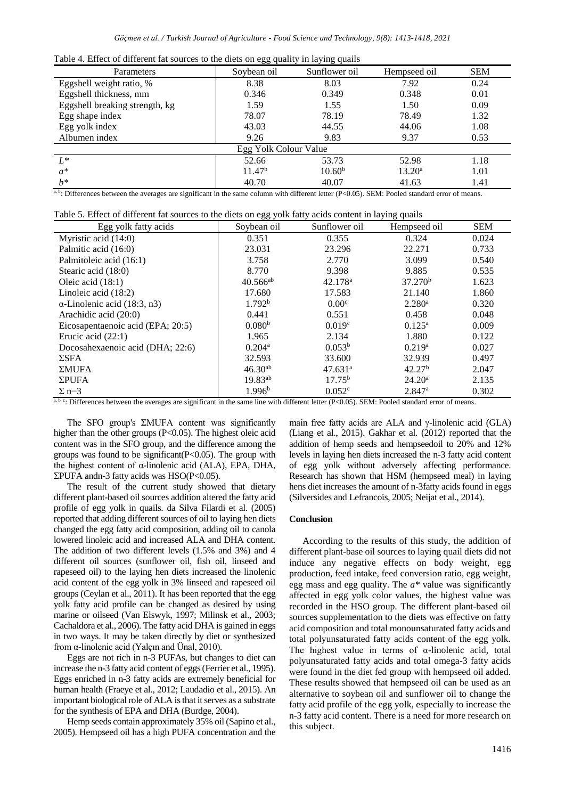|  |  |  | Table 4. Effect of different fat sources to the diets on egg quality in laying quails |  |
|--|--|--|---------------------------------------------------------------------------------------|--|
|  |  |  |                                                                                       |  |

| Parameters                     | ັບບ<br>Soybean oil | J U 1<br>Sunflower oil | Hempseed oil       | <b>SEM</b> |  |  |
|--------------------------------|--------------------|------------------------|--------------------|------------|--|--|
| Eggshell weight ratio, %       | 8.38               | 8.03                   | 7.92               | 0.24       |  |  |
| Eggshell thickness, mm         | 0.346              | 0.349                  | 0.348              | 0.01       |  |  |
| Eggshell breaking strength, kg | 1.59               | 1.55                   | 1.50               | 0.09       |  |  |
| Egg shape index                | 78.07              | 78.19                  | 78.49              | 1.32       |  |  |
| Egg yolk index                 | 43.03              | 44.55                  | 44.06              | 1.08       |  |  |
| Albumen index                  | 9.26               | 9.83                   | 9.37               | 0.53       |  |  |
| Egg Yolk Colour Value          |                    |                        |                    |            |  |  |
| $L^*$                          | 52.66              | 53.73                  | 52.98              | 1.18       |  |  |
| $a^*$                          | 11.47 <sup>b</sup> | 10.60 <sup>b</sup>     | 13.20 <sup>a</sup> | 1.01       |  |  |
| $h^*$                          | 40.70              | 40.07                  | 41.63              | 1.41       |  |  |

<sup>a, b</sup>: Differences between the averages are significant in the same column with different letter (P<0.05). SEM: Pooled standard error of means.

Table 5. Effect of different fat sources to the diets on egg yolk fatty acids content in laying quails

| Egg yolk fatty acids                | Soybean oil          | Sunflower oil       | Hempseed oil         | <b>SEM</b> |
|-------------------------------------|----------------------|---------------------|----------------------|------------|
| Myristic acid (14:0)                | 0.351                | 0.355               | 0.324                | 0.024      |
| Palmitic acid (16:0)                | 23.031               | 23.296              | 22.271               | 0.733      |
| Palmitoleic acid (16:1)             | 3.758                | 2.770               | 3.099                | 0.540      |
| Stearic acid (18:0)                 | 8.770                | 9.398               | 9.885                | 0.535      |
| Oleic acid $(18:1)$                 | $40.566^{ab}$        | 42.178 <sup>a</sup> | 37.270 <sup>b</sup>  | 1.623      |
| Linoleic acid $(18:2)$              | 17.680               | 17.583              | 21.140               | 1.860      |
| $\alpha$ -Linolenic acid (18:3, n3) | 1.792 <sup>b</sup>   | 0.00 <sup>c</sup>   | $2.280$ <sup>a</sup> | 0.320      |
| Arachidic acid (20:0)               | 0.441                | 0.551               | 0.458                | 0.048      |
| Eicosapentaenoic acid (EPA; 20:5)   | 0.080 <sup>b</sup>   | 0.019c              | $0.125^{\rm a}$      | 0.009      |
| Erucic acid $(22:1)$                | 1.965                | 2.134               | 1.880                | 0.122      |
| Docosahexaenoic acid (DHA; 22:6)    | $0.204$ <sup>a</sup> | 0.053 <sup>b</sup>  | 0.219 <sup>a</sup>   | 0.027      |
| $\Sigma$ SFA                        | 32.593               | 33.600              | 32.939               | 0.497      |
| ΣMUFA                               | $46.30^{ab}$         | 47.631 <sup>a</sup> | 42.27 <sup>b</sup>   | 2.047      |
| $\Sigma$ PUFA                       | $19.83^{ab}$         | $17.75^{\rm b}$     | $24.20^a$            | 2.135      |
| $\Sigma$ n–3                        | 1.996 <sup>b</sup>   | 0.052c              | $2.847$ <sup>a</sup> | 0.302      |

a, b, c: Differences between the averages are significant in the same line with different letter (P<0.05). SEM: Pooled standard error of means.

The SFO group's  $\Sigma MUFA$  content was significantly higher than the other groups (P<0.05). The highest oleic acid content was in the SFO group, and the difference among the groups was found to be significant  $(P<0.05)$ . The group with the highest content of α-linolenic acid (ALA), EPA, DHA,  $\Sigma$ PUFA andn-3 fatty acids was HSO(P<0.05).

The result of the current study showed that dietary different plant-based oil sources addition altered the fatty acid profile of egg yolk in quails. da Silva Filardi et al. (2005) reported that adding different sources of oil to laying hen diets changed the egg fatty acid composition, adding oil to canola lowered linoleic acid and increased ALA and DHA content. The addition of two different levels (1.5% and 3%) and 4 different oil sources (sunflower oil, fish oil, linseed and rapeseed oil) to the laying hen diets increased the linolenic acid content of the egg yolk in 3% linseed and rapeseed oil groups (Ceylan et al., 2011). It has been reported that the egg yolk fatty acid profile can be changed as desired by using marine or oilseed (Van Elswyk, 1997; Milinsk et al., 2003; Cachaldora et al., 2006). The fatty acid DHA is gained in eggs in two ways. It may be taken directly by diet or synthesized from α-linolenic acid (Yalçın and Ünal, 2010).

Eggs are not rich in n-3 PUFAs, but changes to diet can increase the n-3 fatty acid content of eggs (Ferrier et al., 1995). Eggs enriched in n-3 fatty acids are extremely beneficial for human health (Fraeye et al., 2012; Laudadio et al., 2015). An important biological role of ALA is that it serves as a substrate for the synthesis of EPA and DHA (Burdge, 2004).

Hemp seeds contain approximately 35% oil (Sapino et al., 2005). Hempseed oil has a high PUFA concentration and the

main free fatty acids are ALA and γ-linolenic acid (GLA) (Liang et al., 2015). Gakhar et al. (2012) reported that the addition of hemp seeds and hempseedoil to 20% and 12% levels in laying hen diets increased the n-3 fatty acid content of egg yolk without adversely affecting performance. Research has shown that HSM (hempseed meal) in laying hens diet increases the amount of n-3fatty acids found in eggs (Silversides and Lefrancois, 2005; Neijat et al., 2014).

### **Conclusion**

According to the results of this study, the addition of different plant-base oil sources to laying quail diets did not induce any negative effects on body weight, egg production, feed intake, feed conversion ratio, egg weight, egg mass and egg quality. The *a\** value was significantly affected in egg yolk color values, the highest value was recorded in the HSO group. The different plant-based oil sources supplementation to the diets was effective on fatty acid composition and total monounsaturated fatty acids and total polyunsaturated fatty acids content of the egg yolk. The highest value in terms of  $\alpha$ -linolenic acid, total polyunsaturated fatty acids and total omega-3 fatty acids were found in the diet fed group with hempseed oil added. These results showed that hempseed oil can be used as an alternative to soybean oil and sunflower oil to change the fatty acid profile of the egg yolk, especially to increase the n-3 fatty acid content. There is a need for more research on this subject.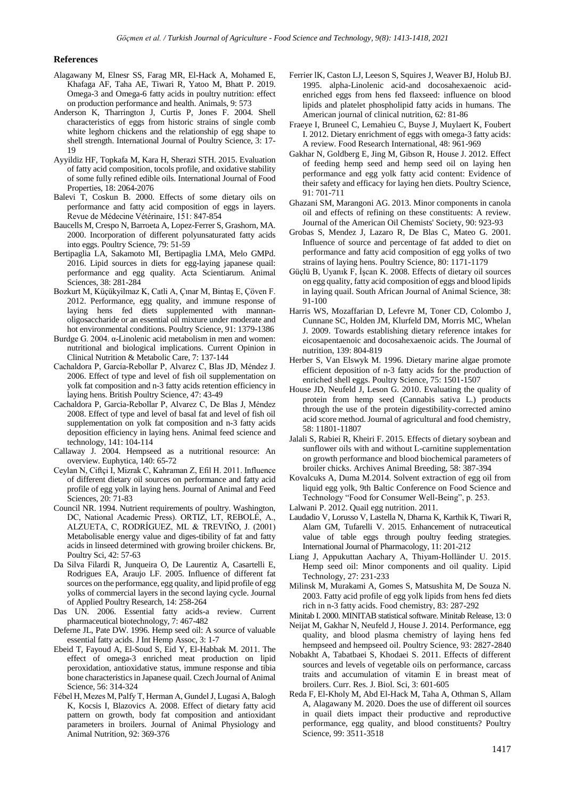#### **References**

- Alagawany M, Elnesr SS, Farag MR, El-Hack A, Mohamed E, Khafaga AF, Taha AE, Tiwari R, Yatoo M, Bhatt P. 2019. Omega-3 and Omega-6 fatty acids in poultry nutrition: effect on production performance and health. Animals, 9: 573
- Anderson K, Tharrington J, Curtis P, Jones F. 2004. Shell characteristics of eggs from historic strains of single comb white leghorn chickens and the relationship of egg shape to shell strength. International Journal of Poultry Science, 3: 17- 19
- Ayyildiz HF, Topkafa M, Kara H, Sherazi STH. 2015. Evaluation of fatty acid composition, tocols profile, and oxidative stability of some fully refined edible oils. International Journal of Food Properties, 18: 2064-2076
- Balevi T, Coskun B. 2000. Effects of some dietary oils on performance and fatty acid composition of eggs in layers. Revue de Médecine Vétérinaire, 151: 847-854
- Baucells M, Crespo N, Barroeta A, Lopez-Ferrer S, Grashorn, MA. 2000. Incorporation of different polyunsaturated fatty acids into eggs. Poultry Science, 79: 51-59
- Bertipaglia LA, Sakamoto MI, Bertipaglia LMA, Melo GMPd. 2016. Lipid sources in diets for egg-laying japanese quail: performance and egg quality. Acta Scientiarum. Animal Sciences, 38: 281-284
- Bozkurt M, Küçükyilmaz K, Catli A, Çınar M, Bintaş E, Çöven F. 2012. Performance, egg quality, and immune response of laying hens fed diets supplemented with mannanoligosaccharide or an essential oil mixture under moderate and hot environmental conditions. Poultry Science, 91: 1379-1386
- Burdge G. 2004. α-Linolenic acid metabolism in men and women: nutritional and biological implications. Current Opinion in Clinical Nutrition & Metabolic Care, 7: 137-144
- Cachaldora P, García-Rebollar P, Alvarez C, Blas JD, Méndez J. 2006. Effect of type and level of fish oil supplementation on yolk fat composition and n-3 fatty acids retention efficiency in laying hens. British Poultry Science, 47: 43-49
- Cachaldora P, Garcia-Rebollar P, Alvarez C, De Blas J, Méndez 2008. Effect of type and level of basal fat and level of fish oil supplementation on yolk fat composition and n-3 fatty acids deposition efficiency in laying hens. Animal feed science and technology, 141: 104-114
- Callaway J. 2004. Hempseed as a nutritional resource: An overview. Euphytica, 140: 65-72
- Ceylan N, Ciftçi I, Mizrak C, Kahraman Z, Efil H. 2011. Influence of different dietary oil sources on performance and fatty acid profile of egg yolk in laying hens. Journal of Animal and Feed Sciences, 20: 71-83
- Council NR. 1994. Nutrient requirements of poultry. Washington, DC, National Academic Press). ORTIZ, LT, REBOLÉ, A., ALZUETA, C, RODRÍGUEZ, ML & TREVIÑO, J. (2001) Metabolisable energy value and diges-tibility of fat and fatty acids in linseed determined with growing broiler chickens. Br, Poultry Sci, 42: 57-63
- Da Silva Filardi R, Junqueira O, De Laurentiz A, Casartelli E, Rodrigues EA, Araujo LF. 2005. Influence of different fat sources on the performance, egg quality, and lipid profile of egg yolks of commercial layers in the second laying cycle. Journal of Applied Poultry Research, 14: 258-264
- Das UN. 2006. Essential fatty acids-a review. Current pharmaceutical biotechnology, 7: 467-482
- Deferne JL, Pate DW. 1996. Hemp seed oil: A source of valuable essential fatty acids. J Int Hemp Assoc, 3: 1-7
- Ebeid T, Fayoud A, El-Soud S, Eid Y, El-Habbak M. 2011. The effect of omega-3 enriched meat production on lipid peroxidation, antioxidative status, immune response and tibia bone characteristics in Japanese quail. Czech Journal of Animal Science, 56: 314-324
- Fébel H, Mezes M, Palfy T, Herman A, Gundel J, Lugasi A, Balogh K, Kocsis I, Blazovics A. 2008. Effect of dietary fatty acid pattern on growth, body fat composition and antioxidant parameters in broilers. Journal of Animal Physiology and Animal Nutrition, 92: 369-376
- Ferrier lK, Caston LJ, Leeson S, Squires J, Weaver BJ, Holub BJ. 1995. alpha-Linolenic acid-and docosahexaenoic acidenriched eggs from hens fed flaxseed: influence on blood lipids and platelet phospholipid fatty acids in humans. The American journal of clinical nutrition, 62: 81-86
- Fraeye I, Bruneel C, Lemahieu C, Buyse J, Muylaert K, Foubert I. 2012. Dietary enrichment of eggs with omega-3 fatty acids: A review. Food Research International, 48: 961-969
- Gakhar N, Goldberg E, Jing M, Gibson R, House J. 2012. Effect of feeding hemp seed and hemp seed oil on laying hen performance and egg yolk fatty acid content: Evidence of their safety and efficacy for laying hen diets. Poultry Science, 91: 701-711
- Ghazani SM, Marangoni AG. 2013. Minor components in canola oil and effects of refining on these constituents: A review. Journal of the American Oil Chemists' Society, 90: 923-93
- Grobas S, Mendez J, Lazaro R, De Blas C, Mateo G. 2001. Influence of source and percentage of fat added to diet on performance and fatty acid composition of egg yolks of two strains of laying hens. Poultry Science, 80: 1171-1179
- Güçlü B, Uyanık F, İşcan K. 2008. Effects of dietary oil sources on egg quality, fatty acid composition of eggs and blood lipids in laying quail. South African Journal of Animal Science, 38: 91-100
- Harris WS, Mozaffarian D, Lefevre M, Toner CD, Colombo J, Cunnane SC, Holden JM, Klurfeld DM, Morris MC, Whelan J. 2009. Towards establishing dietary reference intakes for eicosapentaenoic and docosahexaenoic acids. The Journal of nutrition, 139: 804-819
- Herber S, Van Elswyk M. 1996. Dietary marine algae promote efficient deposition of n-3 fatty acids for the production of enriched shell eggs. Poultry Science, 75: 1501-1507
- House JD, Neufeld J, Leson G. 2010. Evaluating the quality of protein from hemp seed (Cannabis sativa L.) products through the use of the protein digestibility-corrected amino acid score method. Journal of agricultural and food chemistry, 58: 11801-11807
- Jalali S, Rabiei R, Kheiri F. 2015. Effects of dietary soybean and sunflower oils with and without L-carnitine supplementation on growth performance and blood biochemical parameters of broiler chicks. Archives Animal Breeding, 58: 387-394
- Kovalcuks A, Duma M.2014. Solvent extraction of egg oil from liquid egg yolk, 9th Baltic Conference on Food Science and Technology "Food for Consumer Well-Being", p. 253.
- Lalwani P. 2012. Quail egg nutrition. 2011.
- Laudadio V, Lorusso V, Lastella N, Dharna K, Karthik K, Tiwari R, Alam GM, Tufarelli V. 2015. Enhancement of nutraceutical value of table eggs through poultry feeding strategies. International Journal of Pharmacology, 11: 201-212
- Liang J, Appukuttan Aachary A, Thiyam‐Holländer U. 2015. Hemp seed oil: Minor components and oil quality. Lipid Technology, 27: 231-233
- Milinsk M, Murakami A, Gomes S, Matsushita M, De Souza N. 2003. Fatty acid profile of egg yolk lipids from hens fed diets rich in n-3 fatty acids. Food chemistry, 83: 287-292
- Minitab I. 2000. MINITAB statistical software. Minitab Release, 13: 0
- Neijat M, Gakhar N, Neufeld J, House J. 2014. Performance, egg quality, and blood plasma chemistry of laying hens fed hempseed and hempseed oil. Poultry Science, 93: 2827-2840
- Nobakht A, Tabatbaei S, Khodaei S. 2011. Effects of different sources and levels of vegetable oils on performance, carcass traits and accumulation of vitamin E in breast meat of broilers. Curr. Res. J. Biol. Sci, 3: 601-605
- Reda F, El-Kholy M, Abd El-Hack M, Taha A, Othman S, Allam A, Alagawany M. 2020. Does the use of different oil sources in quail diets impact their productive and reproductive performance, egg quality, and blood constituents? Poultry Science, 99: 3511-3518